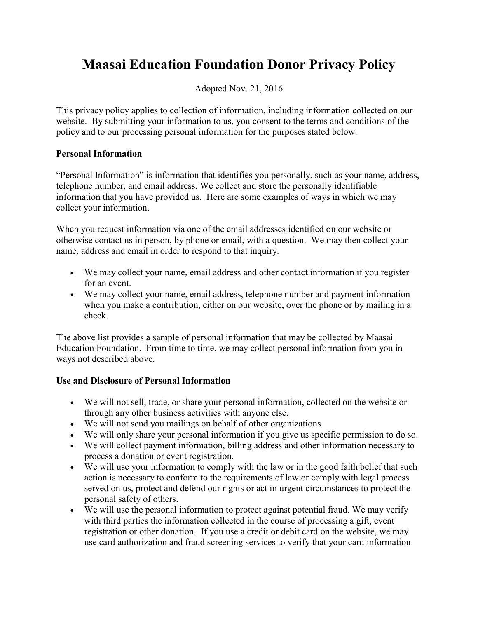## **Maasai Education Foundation Donor Privacy Policy**

Adopted Nov. 21, 2016

This privacy policy applies to collection of information, including information collected on our website. By submitting your information to us, you consent to the terms and conditions of the policy and to our processing personal information for the purposes stated below.

## **Personal Information**

"Personal Information" is information that identifies you personally, such as your name, address, telephone number, and email address. We collect and store the personally identifiable information that you have provided us. Here are some examples of ways in which we may collect your information.

When you request information via one of the email addresses identified on our website or otherwise contact us in person, by phone or email, with a question. We may then collect your name, address and email in order to respond to that inquiry.

- We may collect your name, email address and other contact information if you register for an event.
- We may collect your name, email address, telephone number and payment information when you make a contribution, either on our website, over the phone or by mailing in a check.

The above list provides a sample of personal information that may be collected by Maasai Education Foundation. From time to time, we may collect personal information from you in ways not described above.

## **Use and Disclosure of Personal Information**

- We will not sell, trade, or share your personal information, collected on the website or through any other business activities with anyone else.
- We will not send you mailings on behalf of other organizations.
- We will only share your personal information if you give us specific permission to do so.
- We will collect payment information, billing address and other information necessary to process a donation or event registration.
- We will use your information to comply with the law or in the good faith belief that such action is necessary to conform to the requirements of law or comply with legal process served on us, protect and defend our rights or act in urgent circumstances to protect the personal safety of others.
- We will use the personal information to protect against potential fraud. We may verify with third parties the information collected in the course of processing a gift, event registration or other donation. If you use a credit or debit card on the website, we may use card authorization and fraud screening services to verify that your card information